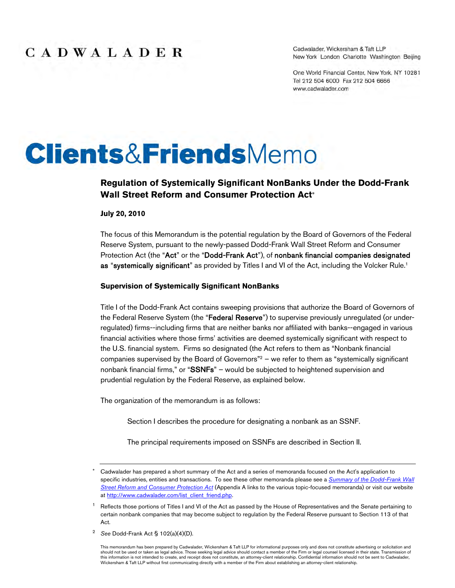Cadwalader, Wickersham & Taft LLP New York London Charlotte Washington Beijing

One World Financial Center, New York, NY 10281 Tel 212 504 6000 Fax 212 504 6666 www.cadwalader.com

# **Clients&FriendsMemo**

#### **Regulation of Systemically Significant NonBanks Under the Dodd-Frank Wall Street Reform and Consumer Protection Act**

**July 20, 2010**

The focus of this Memorandum is the potential regulation by the Board of Governors of the Federal Reserve System, pursuant to the newly-passed Dodd-Frank Wall Street Reform and Consumer Protection Act (the "Act" or the "Dodd-Frank Act"), of nonbank financial companies designated as "systemically significant" as provided by Titles I and VI of the Act, including the Volcker Rule.<sup>1</sup>

#### **Supervision of Systemically Significant NonBanks**

Title I of the Dodd-Frank Act contains sweeping provisions that authorize the Board of Governors of the Federal Reserve System (the "Federal Reserve") to supervise previously unregulated (or underregulated) firms--including firms that are neither banks nor affiliated with banks--engaged in various financial activities where those firms' activities are deemed systemically significant with respect to the U.S. financial system. Firms so designated (the Act refers to them as "Nonbank financial companies supervised by the Board of Governors"<sup>2</sup> – we refer to them as "systemically significant nonbank financial firms," or "SSNFs" – would be subjected to heightened supervision and prudential regulation by the Federal Reserve, as explained below.

The organization of the memorandum is as follows:

Section I describes the procedure for designating a nonbank as an SSNF.

The principal requirements imposed on SSNFs are described in Section II.

<sup>2</sup> *See* Dodd-Frank Act § 102(a)(4)(D).

Cadwalader has prepared a short summary of the Act and a series of memoranda focused on the Act's application to specific industries, entities and transactions. To see these other memoranda please see a *Summary of the Dodd-Frank Wall Street Reform and Consumer Protection Act* (Appendix A links to the various topic-focused memoranda) or visit our website at http://www.cadwalader.com/list\_client\_friend.php.

<sup>&</sup>lt;sup>1</sup> Reflects those portions of Titles I and VI of the Act as passed by the House of Representatives and the Senate pertaining to certain nonbank companies that may become subject to regulation by the Federal Reserve pursuant to Section 113 of that Act.

This memorandum has been prepared by Cadwalader, Wickersham & Taft LLP for informational purposes only and does not constitute advertising or solicitation and should not be used or taken as legal advice. Those seeking legal advice should contact a member of the Firm or legal counsel licensed in their state. Transmission of this information is not intended to create, and receipt does not constitute, an attorney-client relationship. Confidential information should not be sent to Cadwalader,<br>Wickersham & Taft LLP without first communicating dir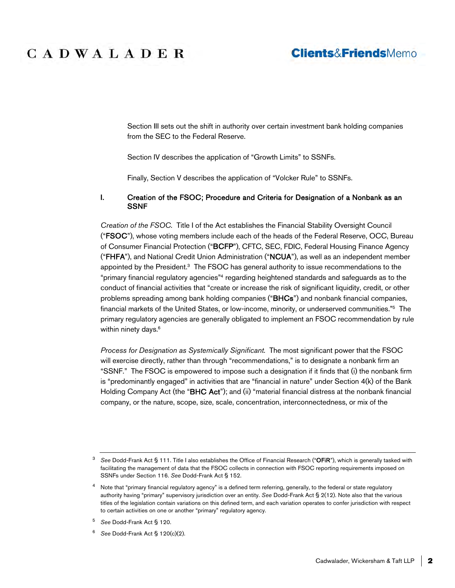### **Clients&FriendsMemo**

Section III sets out the shift in authority over certain investment bank holding companies from the SEC to the Federal Reserve.

Section IV describes the application of "Growth Limits" to SSNFs.

Finally, Section V describes the application of "Volcker Rule" to SSNFs.

#### I. Creation of the FSOC; Procedure and Criteria for Designation of a Nonbank as an SSNF

*Creation of the FSOC.* Title I of the Act establishes the Financial Stability Oversight Council ("FSOC"), whose voting members include each of the heads of the Federal Reserve, OCC, Bureau of Consumer Financial Protection ("BCFP"), CFTC, SEC, FDIC, Federal Housing Finance Agency ("FHFA"), and National Credit Union Administration ("NCUA"), as well as an independent member appointed by the President.<sup>3</sup> The FSOC has general authority to issue recommendations to the "primary financial regulatory agencies"<sup>4</sup> regarding heightened standards and safeguards as to the conduct of financial activities that "create or increase the risk of significant liquidity, credit, or other problems spreading among bank holding companies ("BHCs") and nonbank financial companies, financial markets of the United States, or low-income, minority, or underserved communities."<sup>5</sup> The primary regulatory agencies are generally obligated to implement an FSOC recommendation by rule within ninety days.<sup>6</sup>

*Process for Designation as Systemically Significant.* The most significant power that the FSOC will exercise directly, rather than through "recommendations," is to designate a nonbank firm an "SSNF." The FSOC is empowered to impose such a designation if it finds that (i) the nonbank firm is "predominantly engaged" in activities that are "financial in nature" under Section 4(k) of the Bank Holding Company Act (the "BHC Act"); and (ii) "material financial distress at the nonbank financial company, or the nature, scope, size, scale, concentration, interconnectedness, or mix of the

<sup>3</sup> *See* Dodd-Frank Act § 111. Title I also establishes the Office of Financial Research ("OFiR"), which is generally tasked with facilitating the management of data that the FSOC collects in connection with FSOC reporting requirements imposed on SSNFs under Section 116. *See* Dodd-Frank Act § 152.

<sup>&</sup>lt;sup>4</sup> Note that "primary financial regulatory agency" is a defined term referring, generally, to the federal or state regulatory authority having "primary" supervisory jurisdiction over an entity. *See* Dodd-Frank Act § 2(12). Note also that the various titles of the legislation contain variations on this defined term, and each variation operates to confer jurisdiction with respect to certain activities on one or another "primary" regulatory agency.

<sup>5</sup> *See* Dodd-Frank Act § 120.

<sup>6</sup> *See* Dodd-Frank Act § 120(c)(2).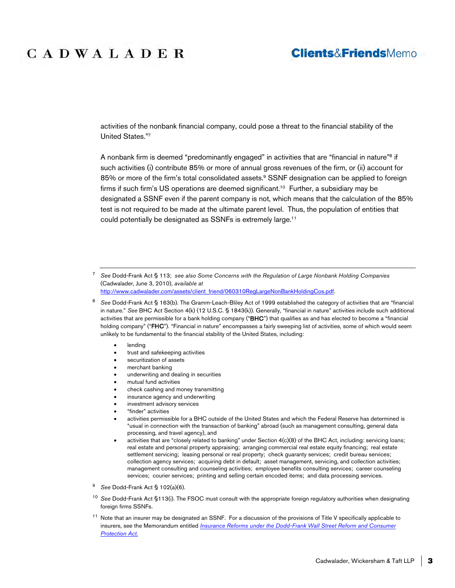### **Clients&FriendsMemo**

activities of the nonbank financial company, could pose a threat to the financial stability of the United States."<sup>7</sup>

A nonbank firm is deemed "predominantly engaged" in activities that are "financial in nature"<sup>8</sup> if such activities (i) contribute 85% or more of annual gross revenues of the firm, or (ii) account for 85% or more of the firm's total consolidated assets.<sup>9</sup> SSNF designation can be applied to foreign firms if such firm's US operations are deemed significant.<sup>10</sup> Further, a subsidiary may be designated a SSNF even if the parent company is not, which means that the calculation of the 85% test is not required to be made at the ultimate parent level. Thus, the population of entities that could potentially be designated as SSNFs is extremely large.<sup>11</sup>

<sup>7</sup> *See* Dodd-Frank Act § 113; *see also Some Concerns with the Regulation of Large Nonbank Holding Companies* (Cadwalader, June 3, 2010), *available at* http://www.cadwalader.com/assets/client\_friend/060310RegLargeNonBankHoldingCos.pdf.

- lending
- trust and safekeeping activities
- securitization of assets
- merchant banking
- underwriting and dealing in securities
- mutual fund activities
- check cashing and money transmitting
- insurance agency and underwriting
- investment advisory services
- "finder" activities
- activities permissible for a BHC outside of the United States and which the Federal Reserve has determined is "usual in connection with the transaction of banking" abroad (such as management consulting, general data processing, and travel agency), and
- activities that are "closely related to banking" under Section 4(c)(8) of the BHC Act, including: servicing loans; real estate and personal property appraising; arranging commercial real estate equity financing; real estate settlement servicing; leasing personal or real property; check guaranty services; credit bureau services; collection agency services; acquiring debt in default; asset management, servicing, and collection activities; management consulting and counseling activities; employee benefits consulting services; career counseling services; courier services; printing and selling certain encoded items; and data processing services.
- <sup>9</sup> *See* Dodd-Frank Act § 102(a)(6).
- <sup>10</sup> *See* Dodd-Frank Act §113(i). The FSOC must consult with the appropriate foreign regulatory authorities when designating foreign firms SSNFs.
- <sup>11</sup> Note that an insurer may be designated an SSNF. For a discussion of the provisions of Title V specifically applicable to insurers, see the Memorandum entitled *Insurance Reforms under the Dodd-Frank Wall Street Reform and Consumer Protection Act*.

<sup>8</sup> *See* Dodd-Frank Act § 163(b). The Gramm-Leach-Bliley Act of 1999 established the category of activities that are "financial in nature." *See* BHC Act Section 4(k) (12 U.S.C. § 1843(k)). Generally, "financial in nature" activities include such additional activities that are permissible for a bank holding company ("BHC") that qualifies as and has elected to become a "financial holding company" ("FHC"). "Financial in nature" encompasses a fairly sweeping list of activities, some of which would seem unlikely to be fundamental to the financial stability of the United States, including: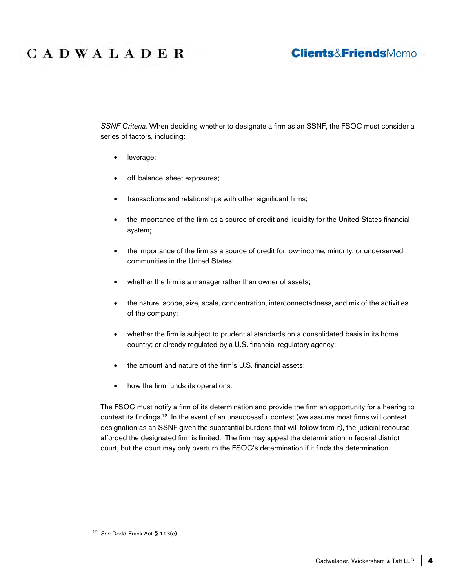### **Clients&FriendsMemo**

*SSNF Criteria.* When deciding whether to designate a firm as an SSNF, the FSOC must consider a series of factors, including:

- leverage;
- off-balance-sheet exposures;
- transactions and relationships with other significant firms;
- the importance of the firm as a source of credit and liquidity for the United States financial system;
- the importance of the firm as a source of credit for low-income, minority, or underserved communities in the United States;
- whether the firm is a manager rather than owner of assets;
- the nature, scope, size, scale, concentration, interconnectedness, and mix of the activities of the company;
- whether the firm is subject to prudential standards on a consolidated basis in its home country; or already regulated by a U.S. financial regulatory agency;
- the amount and nature of the firm's U.S. financial assets:
- how the firm funds its operations.

The FSOC must notify a firm of its determination and provide the firm an opportunity for a hearing to contest its findings.<sup>12</sup> In the event of an unsuccessful contest (we assume most firms will contest designation as an SSNF given the substantial burdens that will follow from it), the judicial recourse afforded the designated firm is limited. The firm may appeal the determination in federal district court, but the court may only overturn the FSOC's determination if it finds the determination

<sup>12</sup> *See* Dodd-Frank Act § 113(e).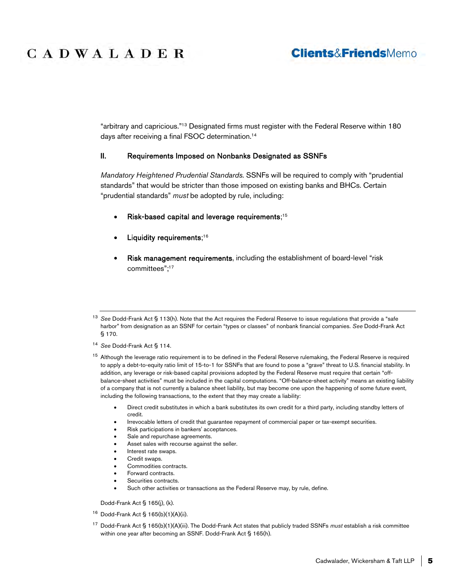### **Clients&FriendsMemo**

"arbitrary and capricious."<sup>13</sup> Designated firms must register with the Federal Reserve within 180 days after receiving a final FSOC determination.<sup>14</sup>

#### II. Requirements Imposed on Nonbanks Designated as SSNFs

*Mandatory Heightened Prudential Standards.* SSNFs will be required to comply with "prudential standards" that would be stricter than those imposed on existing banks and BHCs. Certain "prudential standards" *must* be adopted by rule, including:

- Risk-based capital and leverage requirements;<sup>15</sup>
- Liquidity requirements;<sup>16</sup>
- Risk management requirements, including the establishment of board-level "risk committees";<sup>17</sup>

- <sup>14</sup> *See* Dodd-Frank Act § 114.
- <sup>15</sup> Although the leverage ratio requirement is to be defined in the Federal Reserve rulemaking, the Federal Reserve is required to apply a debt-to-equity ratio limit of 15-to-1 for SSNFs that are found to pose a "grave" threat to U.S. financial stability. In addition, any leverage or risk-based capital provisions adopted by the Federal Reserve must require that certain "offbalance-sheet activities" must be included in the capital computations. "Off-balance-sheet activity" means an existing liability of a company that is not currently a balance sheet liability, but may become one upon the happening of some future event, including the following transactions, to the extent that they may create a liability:
	- Direct credit substitutes in which a bank substitutes its own credit for a third party, including standby letters of credit.
	- Irrevocable letters of credit that guarantee repayment of commercial paper or tax-exempt securities.
	- Risk participations in bankers' acceptances.
	- Sale and repurchase agreements.
	- Asset sales with recourse against the seller.
	- Interest rate swaps.
	- Credit swaps.
	- Commodities contracts.
	- Forward contracts.
	- Securities contracts.
	- Such other activities or transactions as the Federal Reserve may, by rule, define.

Dodd-Frank Act § 165(j), (k).

- $16$  Dodd-Frank Act § 165(b)(1)(A)(ii).
- <sup>17</sup> Dodd-Frank Act § 165(b)(1)(A)(iii). The Dodd-Frank Act states that publicly traded SSNFs *must* establish a risk committee within one year after becoming an SSNF. Dodd-Frank Act § 165(h).

<sup>13</sup> *See* Dodd-Frank Act § 113(h). Note that the Act requires the Federal Reserve to issue regulations that provide a "safe harbor" from designation as an SSNF for certain "types or classes" of nonbank financial companies. *See* Dodd-Frank Act § 170.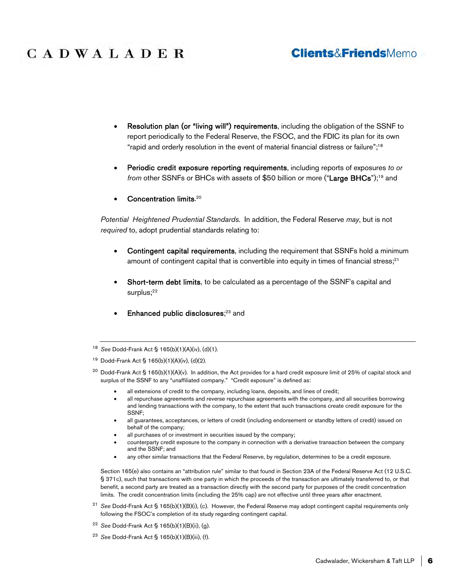### **Clients&FriendsMemo**

- Resolution plan (or "living will") requirements, including the obligation of the SSNF to report periodically to the Federal Reserve, the FSOC, and the FDIC its plan for its own "rapid and orderly resolution in the event of material financial distress or failure";<sup>18</sup>
- Periodic credit exposure reporting requirements, including reports of exposures *to or from* other SSNFs or BHCs with assets of \$50 billion or more ("Large BHCs"); <sup>19</sup> and
- Concentration limits.<sup>20</sup>

*Potential Heightened Prudential Standards.* In addition, the Federal Reserve *may*, but is not *required* to, adopt prudential standards relating to:

- Contingent capital requirements, including the requirement that SSNFs hold a minimum amount of contingent capital that is convertible into equity in times of financial stress;<sup>21</sup>
- Short-term debt limits, to be calculated as a percentage of the SSNF's capital and surplus;<sup>22</sup>
- Enhanced public disclosures;<sup>23</sup> and

- all extensions of credit to the company, including loans, deposits, and lines of credit;
- all repurchase agreements and reverse repurchase agreements with the company, and all securities borrowing and lending transactions with the company, to the extent that such transactions create credit exposure for the SSNF;
- all guarantees, acceptances, or letters of credit (including endorsement or standby letters of credit) issued on behalf of the company;
- all purchases of or investment in securities issued by the company;
- counterparty credit exposure to the company in connection with a derivative transaction between the company and the SSNF; and
- any other similar transactions that the Federal Reserve, by regulation, determines to be a credit exposure.

Section 165(e) also contains an "attribution rule" similar to that found in Section 23A of the Federal Reserve Act (12 U.S.C. § 371c), such that transactions with one party in which the proceeds of the transaction are ultimately transferred to, or that benefit, a second party are treated as a transaction directly with the second party for purposes of the credit concentration limits. The credit concentration limits (including the 25% cap) are not effective until three years after enactment.

- <sup>21</sup> *See* Dodd-Frank Act § 165(b)(1)(B)(i), (c). However, the Federal Reserve may adopt contingent capital requirements only following the FSOC's completion of its study regarding contingent capital.
- <sup>22</sup> *See* Dodd-Frank Act § 165(b)(1)(B)(ii), (g).
- <sup>23</sup> *See* Dodd-Frank Act § 165(b)(1)(B)(iii), (f).

<sup>18</sup> *See* Dodd-Frank Act § 165(b)(1)(A)(iv), (d)(1).

<sup>19</sup> Dodd-Frank Act § 165(b)(1)(A)(iv), (d)(2).

<sup>&</sup>lt;sup>20</sup> Dodd-Frank Act § 165(b)(1)(A)(v). In addition, the Act provides for a hard credit exposure limit of 25% of capital stock and surplus of the SSNF to any "unaffiliated company." "Credit exposure" is defined as: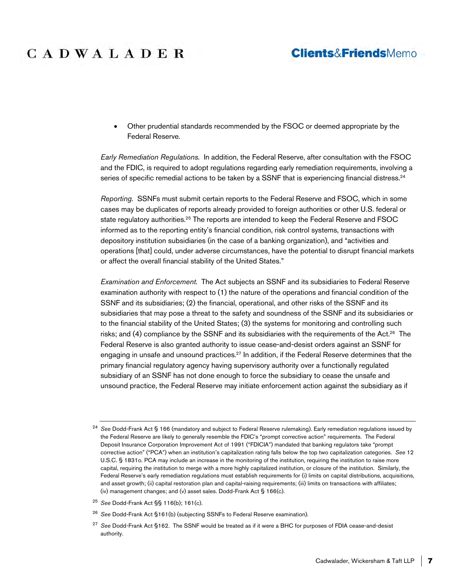### **Clients&FriendsMemo**

 Other prudential standards recommended by the FSOC or deemed appropriate by the Federal Reserve.

*Early Remediation Regulations.* In addition, the Federal Reserve, after consultation with the FSOC and the FDIC, is required to adopt regulations regarding early remediation requirements, involving a series of specific remedial actions to be taken by a SSNF that is experiencing financial distress.<sup>24</sup>

*Reporting.* SSNFs must submit certain reports to the Federal Reserve and FSOC, which in some cases may be duplicates of reports already provided to foreign authorities or other U.S. federal or state regulatory authorities.<sup>25</sup> The reports are intended to keep the Federal Reserve and FSOC informed as to the reporting entity's financial condition, risk control systems, transactions with depository institution subsidiaries (in the case of a banking organization), and "activities and operations [that] could, under adverse circumstances, have the potential to disrupt financial markets or affect the overall financial stability of the United States."

*Examination and Enforcement.* The Act subjects an SSNF and its subsidiaries to Federal Reserve examination authority with respect to (1) the nature of the operations and financial condition of the SSNF and its subsidiaries; (2) the financial, operational, and other risks of the SSNF and its subsidiaries that may pose a threat to the safety and soundness of the SSNF and its subsidiaries or to the financial stability of the United States; (3) the systems for monitoring and controlling such risks; and (4) compliance by the SSNF and its subsidiaries with the requirements of the Act.<sup>26</sup> The Federal Reserve is also granted authority to issue cease-and-desist orders against an SSNF for engaging in unsafe and unsound practices.<sup>27</sup> In addition, if the Federal Reserve determines that the primary financial regulatory agency having supervisory authority over a functionally regulated subsidiary of an SSNF has not done enough to force the subsidiary to cease the unsafe and unsound practice, the Federal Reserve may initiate enforcement action against the subsidiary as if

<sup>25</sup> *See* Dodd-Frank Act §§ 116(b); 161(c).

<sup>26</sup> *See* Dodd-Frank Act §161(b) (subjecting SSNFs to Federal Reserve examination).

<sup>24</sup> *See* Dodd-Frank Act § 166 (mandatory and subject to Federal Reserve rulemaking). Early remediation regulations issued by the Federal Reserve are likely to generally resemble the FDIC's "prompt corrective action" requirements. The Federal Deposit Insurance Corporation Improvement Act of 1991 ("FDICIA") mandated that banking regulators take "prompt corrective action" ("PCA") when an institution's capitalization rating falls below the top two capitalization categories. *See* 12 U.S.C. § 1831o. PCA may include an increase in the monitoring of the institution, requiring the institution to raise more capital, requiring the institution to merge with a more highly capitalized institution, or closure of the institution. Similarly, the Federal Reserve's early remediation regulations must establish requirements for (i) limits on capital distributions, acquisitions, and asset growth; (ii) capital restoration plan and capital-raising requirements; (iii) limits on transactions with affiliates; (iv) management changes; and (v) asset sales. Dodd-Frank Act § 166(c).

<sup>27</sup> *See* Dodd-Frank Act §162. The SSNF would be treated as if it were a BHC for purposes of FDIA cease-and-desist authority.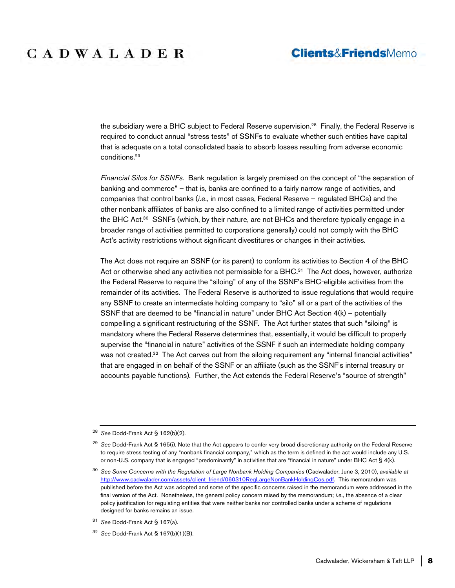#### **Clients&FriendsMemo**

the subsidiary were a BHC subject to Federal Reserve supervision.<sup>28</sup> Finally, the Federal Reserve is required to conduct annual "stress tests" of SSNFs to evaluate whether such entities have capital that is adequate on a total consolidated basis to absorb losses resulting from adverse economic conditions.<sup>29</sup>

*Financial Silos for SSNFs.* Bank regulation is largely premised on the concept of "the separation of banking and commerce" – that is, banks are confined to a fairly narrow range of activities, and companies that control banks (*i.e*., in most cases, Federal Reserve – regulated BHCs) and the other nonbank affiliates of banks are also confined to a limited range of activities permitted under the BHC Act.<sup>30</sup> SSNFs (which, by their nature, are not BHCs and therefore typically engage in a broader range of activities permitted to corporations generally) could not comply with the BHC Act's activity restrictions without significant divestitures or changes in their activities*.* 

The Act does not require an SSNF (or its parent) to conform its activities to Section 4 of the BHC Act or otherwise shed any activities not permissible for a BHC.<sup>31</sup> The Act does, however, authorize the Federal Reserve to require the "siloing" of any of the SSNF's BHC-eligible activities from the remainder of its activities*.* The Federal Reserve is authorized to issue regulations that would require any SSNF to create an intermediate holding company to "silo" all or a part of the activities of the SSNF that are deemed to be "financial in nature" under BHC Act Section  $4(k)$  – potentially compelling a significant restructuring of the SSNF*.* The Act further states that such "siloing" is mandatory where the Federal Reserve determines that, essentially, it would be difficult to properly supervise the "financial in nature" activities of the SSNF if such an intermediate holding company was not created.<sup>32</sup> The Act carves out from the siloing requirement any "internal financial activities" that are engaged in on behalf of the SSNF or an affiliate (such as the SSNF's internal treasury or accounts payable functions)*.* Further, the Act extends the Federal Reserve's "source of strength"

<sup>28</sup> *See* Dodd-Frank Act § 162(b)(2).

<sup>29</sup> *See* Dodd-Frank Act § 165(i). Note that the Act appears to confer very broad discretionary authority on the Federal Reserve to require stress testing of any "nonbank financial company," which as the term is defined in the act would include any U.S. or non-U.S. company that is engaged "predominantly" in activities that are "financial in nature" under BHC Act § 4(k).

<sup>30</sup> *See Some Concerns with the Regulation of Large Nonbank Holding Companies* (Cadwalader, June 3, 2010), *available at* http://www.cadwalader.com/assets/client\_friend/060310RegLargeNonBankHoldingCos.pdf. This memorandum was published before the Act was adopted and some of the specific concerns raised in the memorandum were addressed in the final version of the Act. Nonetheless, the general policy concern raised by the memorandum; *i.e.,* the absence of a clear policy justification for regulating entities that were neither banks nor controlled banks under a scheme of regulations designed for banks remains an issue.

<sup>31</sup> *See* Dodd-Frank Act § 167(a).

<sup>32</sup> *See* Dodd-Frank Act § 167(b)(1)(B).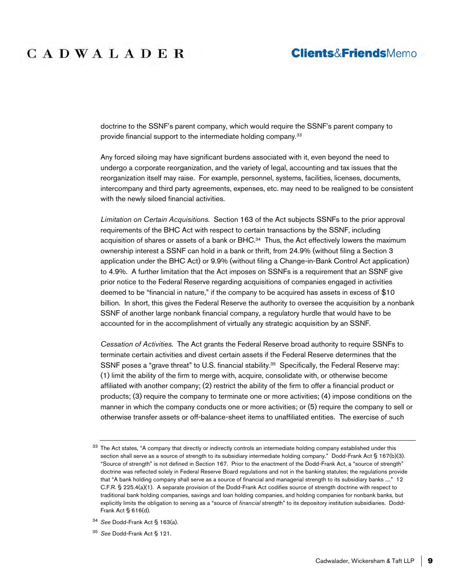#### **Clients&FriendsMemo**

doctrine to the SSNF's parent company, which would require the SSNF's parent company to provide financial support to the intermediate holding company*. 33*

Any forced siloing may have significant burdens associated with it, even beyond the need to undergo a corporate reorganization, and the variety of legal, accounting and tax issues that the reorganization itself may raise. For example, personnel, systems, facilities, licenses, documents, intercompany and third party agreements, expenses, etc. may need to be realigned to be consistent with the newly siloed financial activities.

*Limitation on Certain Acquisitions.* Section 163 of the Act subjects SSNFs to the prior approval requirements of the BHC Act with respect to certain transactions by the SSNF, including acquisition of shares or assets of a bank or BHC.<sup>34</sup> Thus, the Act effectively lowers the maximum ownership interest a SSNF can hold in a bank or thrift, from 24.9% (without filing a Section 3 application under the BHC Act) or 9.9% (without filing a Change-in-Bank Control Act application) to 4.9%. A further limitation that the Act imposes on SSNFs is a requirement that an SSNF give prior notice to the Federal Reserve regarding acquisitions of companies engaged in activities deemed to be "financial in nature," if the company to be acquired has assets in excess of \$10 billion. In short, this gives the Federal Reserve the authority to oversee the acquisition by a nonbank SSNF of another large nonbank financial company, a regulatory hurdle that would have to be accounted for in the accomplishment of virtually any strategic acquisition by an SSNF.

*Cessation of Activities.* The Act grants the Federal Reserve broad authority to require SSNFs to terminate certain activities and divest certain assets if the Federal Reserve determines that the SSNF poses a "grave threat" to U.S. financial stability.<sup>35</sup> Specifically, the Federal Reserve may: (1) limit the ability of the firm to merge with, acquire, consolidate with, or otherwise become affiliated with another company; (2) restrict the ability of the firm to offer a financial product or products; (3) require the company to terminate one or more activities; (4) impose conditions on the manner in which the company conducts one or more activities; or (5) require the company to sell or otherwise transfer assets or off-balance-sheet items to unaffiliated entities. The exercise of such

<sup>&</sup>lt;sup>33</sup> The Act states, "A company that directly or indirectly controls an intermediate holding company established under this section shall serve as a source of strength to its subsidiary intermediate holding company." Dodd-Frank Act § 167(b)(3). "Source of strength" is not defined in Section 167. Prior to the enactment of the Dodd-Frank Act, a "source of strength" doctrine was reflected solely in Federal Reserve Board regulations and not in the banking statutes; the regulations provide that "A bank holding company shall serve as a source of financial and managerial strength to its subsidiary banks ...." 12 C.F.R. § 225.4(a)(1). A separate provision of the Dodd-Frank Act codifies source of strength doctrine with respect to traditional bank holding companies, savings and loan holding companies, and holding companies for nonbank banks, but explicitly limits the obligation to serving as a "source of *financial* strength" to its depository institution subsidiaries. Dodd-Frank Act § 616(d).

<sup>34</sup> *See* Dodd-Frank Act § 163(a).

<sup>35</sup> *See* Dodd-Frank Act § 121.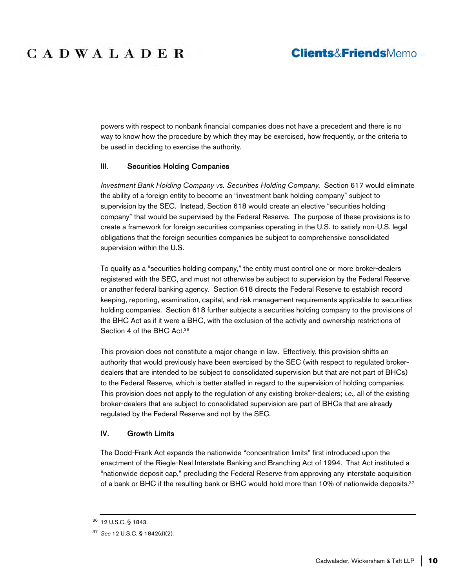### **Clients&FriendsMemo**

powers with respect to nonbank financial companies does not have a precedent and there is no way to know how the procedure by which they may be exercised, how frequently, or the criteria to be used in deciding to exercise the authority.

#### III. Securities Holding Companies

*Investment Bank Holding Company vs. Securities Holding Company.* Section 617 would eliminate the ability of a foreign entity to become an "investment bank holding company" subject to supervision by the SEC. Instead, Section 618 would create an elective "securities holding company" that would be supervised by the Federal Reserve. The purpose of these provisions is to create a framework for foreign securities companies operating in the U.S. to satisfy non-U.S. legal obligations that the foreign securities companies be subject to comprehensive consolidated supervision within the U.S.

To qualify as a "securities holding company," the entity must control one or more broker-dealers registered with the SEC, and must not otherwise be subject to supervision by the Federal Reserve or another federal banking agency. Section 618 directs the Federal Reserve to establish record keeping, reporting, examination, capital, and risk management requirements applicable to securities holding companies. Section 618 further subjects a securities holding company to the provisions of the BHC Act as if it were a BHC, with the exclusion of the activity and ownership restrictions of Section 4 of the BHC Act.<sup>36</sup>

This provision does not constitute a major change in law. Effectively, this provision shifts an authority that would previously have been exercised by the SEC (with respect to regulated brokerdealers that are intended to be subject to consolidated supervision but that are not part of BHCs) to the Federal Reserve, which is better staffed in regard to the supervision of holding companies. This provision does not apply to the regulation of any existing broker-dealers; *i.e.,* all of the existing broker-dealers that are subject to consolidated supervision are part of BHCs that are already regulated by the Federal Reserve and not by the SEC.

#### IV. Growth Limits

The Dodd-Frank Act expands the nationwide "concentration limits" first introduced upon the enactment of the Riegle-Neal Interstate Banking and Branching Act of 1994. That Act instituted a "nationwide deposit cap," precluding the Federal Reserve from approving any interstate acquisition of a bank or BHC if the resulting bank or BHC would hold more than 10% of nationwide deposits.<sup>37</sup>

<sup>36</sup> 12 U.S.C. § 1843.

<sup>37</sup> *See* 12 U.S.C. § 1842(d)(2).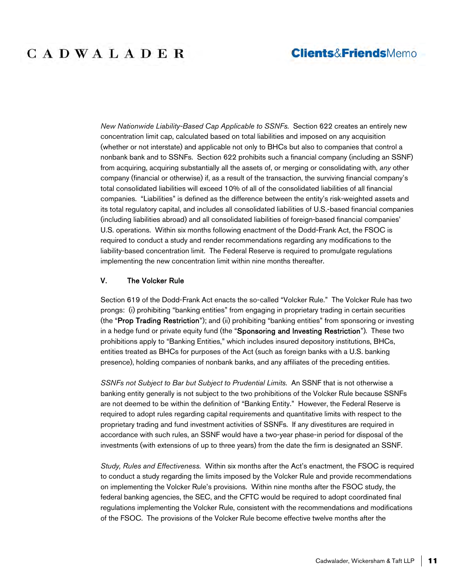*New Nationwide Liability-Based Cap Applicable to SSNFs.* Section 622 creates an entirely new concentration limit cap, calculated based on total liabilities and imposed on any acquisition (whether or not interstate) and applicable not only to BHCs but also to companies that control a nonbank bank and to SSNFs. Section 622 prohibits such a financial company (including an SSNF) from acquiring, acquiring substantially all the assets of, or merging or consolidating with, *any* other company (financial or otherwise) if, as a result of the transaction, the surviving financial company's total consolidated liabilities will exceed 10% of all of the consolidated liabilities of all financial companies. "Liabilities" is defined as the difference between the entity's risk-weighted assets and its total regulatory capital, and includes all consolidated liabilities of U.S.-based financial companies (including liabilities abroad) and all consolidated liabilities of foreign-based financial companies' U.S. operations. Within six months following enactment of the Dodd-Frank Act, the FSOC is required to conduct a study and render recommendations regarding any modifications to the liability-based concentration limit. The Federal Reserve is required to promulgate regulations implementing the new concentration limit within nine months thereafter.

#### V. The Volcker Rule

Section 619 of the Dodd-Frank Act enacts the so-called "Volcker Rule." The Volcker Rule has two prongs: (i) prohibiting "banking entities" from engaging in proprietary trading in certain securities (the "Prop Trading Restriction"); and (ii) prohibiting "banking entities" from sponsoring or investing in a hedge fund or private equity fund (the "Sponsoring and Investing Restriction"). These two prohibitions apply to "Banking Entities," which includes insured depository institutions, BHCs, entities treated as BHCs for purposes of the Act (such as foreign banks with a U.S. banking presence), holding companies of nonbank banks, and any affiliates of the preceding entities.

*SSNFs not Subject to Bar but Subject to Prudential Limits.* An SSNF that is not otherwise a banking entity generally is not subject to the two prohibitions of the Volcker Rule because SSNFs are not deemed to be within the definition of "Banking Entity." However, the Federal Reserve is required to adopt rules regarding capital requirements and quantitative limits with respect to the proprietary trading and fund investment activities of SSNFs. If any divestitures are required in accordance with such rules, an SSNF would have a two-year phase-in period for disposal of the investments (with extensions of up to three years) from the date the firm is designated an SSNF.

*Study, Rules and Effectiveness.* Within six months after the Act's enactment, the FSOC is required to conduct a study regarding the limits imposed by the Volcker Rule and provide recommendations on implementing the Volcker Rule's provisions. Within nine months after the FSOC study, the federal banking agencies, the SEC, and the CFTC would be required to adopt coordinated final regulations implementing the Volcker Rule, consistent with the recommendations and modifications of the FSOC. The provisions of the Volcker Rule become effective twelve months after the